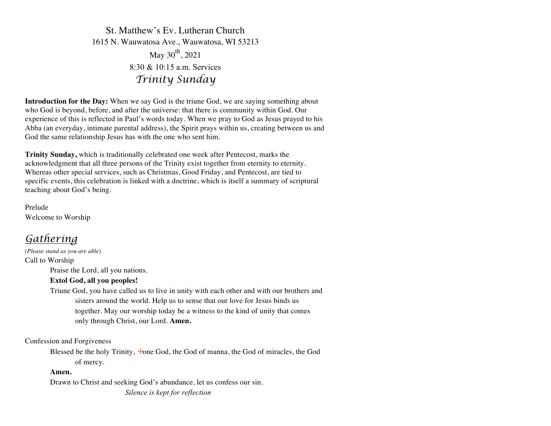St. Matthew's Ev. Lutheran Church 1615 N. Wauwatosa Ave., Wauwatosa, WI 53213 May  $30^{th}$ , 2021  $8.30 \& 10.15$  a.m. Services *Trinity Sunday*

**Introduction for the Day:** When we say God is the triune God, we are saying something about who God is beyond, before, and after the universe: that there is community within God. Our experience of this is reflected in Paul's words today. When we pray to God as Jesus prayed to his Abba (an everyday, intimate parental address), the Spirit prays within us, creating between us and God the same relationship Jesus has with the one who sent him.

**Trinity Sunday,** which is traditionally celebrated one week after Pentecost, marks the acknowledgment that all three persons of the Trinity exist together from eternity to eternity. Whereas other special services, such as Christmas, Good Friday, and Pentecost, are tied to specific events, this celebration is linked with a doctrine, which is itself a summary of scriptural teaching about God's being.

Prelude Welcome to Worship

# *Gathering*

*(Please stand as you are able)* Call to Worship

Praise the Lord, all you nations.

# **Extol God, all you peoples!**

Triune God, you have called us to live in unity with each other and with our brothers and sisters around the world. Help us to sense that our love for Jesus binds us together. May our worship today be a witness to the kind of unity that comes only through Christ, our Lord. **Amen.**

Confession and Forgiveness

Blessed be the holy Trinity,  $\pm$ one God, the God of manna, the God of miracles, the God of mercy.

## **Amen.**

Drawn to Christ and seeking God's abundance, let us confess our sin. *Silence is kept for reflection*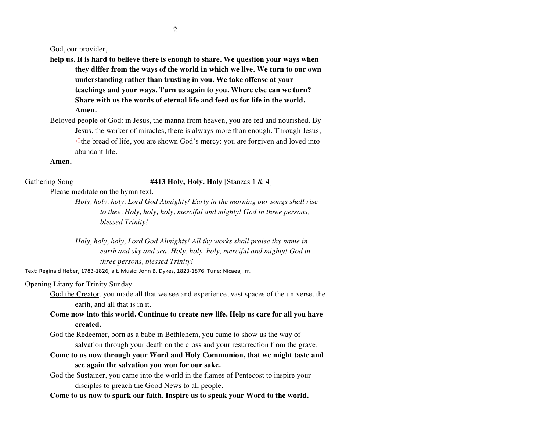God, our provider,

- **help us. It is hard to believe there is enough to share. We question your ways when they differ from the ways of the world in which we live. We turn to our own understanding rather than trusting in you. We take offense at your teachings and your ways. Turn us again to you. Where else can we turn? Share with us the words of eternal life and feed us for life in the world. Amen.**
- Beloved people of God: in Jesus, the manna from heaven, you are fed and nourished. By Jesus, the worker of miracles, there is always more than enough. Through Jesus, ☩the bread of life, you are shown God's mercy: you are forgiven and loved into abundant life.

**Amen.**

Gathering Song **#413 Holy, Holy, Holy** [Stanzas 1 & 4]

Please meditate on the hymn text.

*Holy, holy, holy, Lord God Almighty! Early in the morning our songs shall rise to thee. Holy, holy, holy, merciful and mighty! God in three persons, blessed Trinity!*

*Holy, holy, holy, Lord God Almighty! All thy works shall praise thy name in earth and sky and sea. Holy, holy, holy, merciful and mighty! God in three persons, blessed Trinity!*

Text: Reginald Heber, 1783-1826, alt. Music: John B. Dykes, 1823-1876. Tune: Nicaea, Irr.

Opening Litany for Trinity Sunday

God the Creator, you made all that we see and experience, vast spaces of the universe, the earth, and all that is in it.

**Come now into this world. Continue to create new life. Help us care for all you have created.**

God the Redeemer, born as a babe in Bethlehem, you came to show us the way of salvation through your death on the cross and your resurrection from the grave.

**Come to us now through your Word and Holy Communion, that we might taste and see again the salvation you won for our sake.**

God the Sustainer, you came into the world in the flames of Pentecost to inspire your disciples to preach the Good News to all people.

**Come to us now to spark our faith. Inspire us to speak your Word to the world.**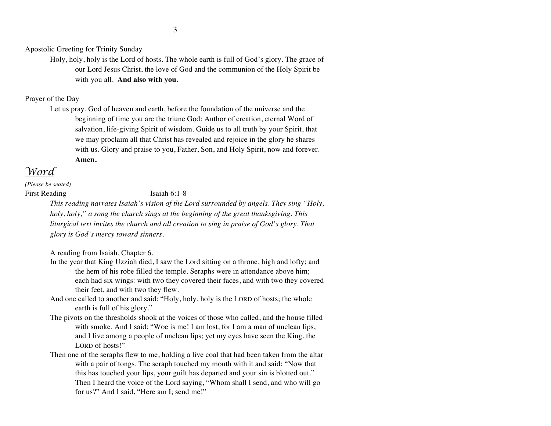Apostolic Greeting for Trinity Sunday

Holy, holy, holy is the Lord of hosts. The whole earth is full of God's glory. The grace of our Lord Jesus Christ, the love of God and the communion of the Holy Spirit be with you all. **And also with you.**

## Prayer of the Day

Let us pray. God of heaven and earth, before the foundation of the universe and the beginning of time you are the triune God: Author of creation, eternal Word of salvation, life-giving Spirit of wisdom. Guide us to all truth by your Spirit, that we may proclaim all that Christ has revealed and rejoice in the glory he shares with us. Glory and praise to you, Father, Son, and Holy Spirit, now and forever. **Amen.**

# *Word*

*(Please be seated)* First Reading Isaiah 6:1-8

*This reading narrates Isaiah's vision of the Lord surrounded by angels. They sing "Holy, holy, holy," a song the church sings at the beginning of the great thanksgiving. This liturgical text invites the church and all creation to sing in praise of God's glory. That glory is God's mercy toward sinners.*

A reading from Isaiah, Chapter 6.

- In the year that King Uzziah died, I saw the Lord sitting on a throne, high and lofty; and the hem of his robe filled the temple. Seraphs were in attendance above him; each had six wings: with two they covered their faces, and with two they covered their feet, and with two they flew.
- And one called to another and said: "Holy, holy, holy is the LORD of hosts; the whole earth is full of his glory."
- The pivots on the thresholds shook at the voices of those who called, and the house filled with smoke. And I said: "Woe is me! I am lost, for I am a man of unclean lips, and I live among a people of unclean lips; yet my eyes have seen the King, the LORD of hosts!"
- Then one of the seraphs flew to me, holding a live coal that had been taken from the altar with a pair of tongs. The seraph touched my mouth with it and said: "Now that this has touched your lips, your guilt has departed and your sin is blotted out." Then I heard the voice of the Lord saying, "Whom shall I send, and who will go for us?" And I said, "Here am I; send me!"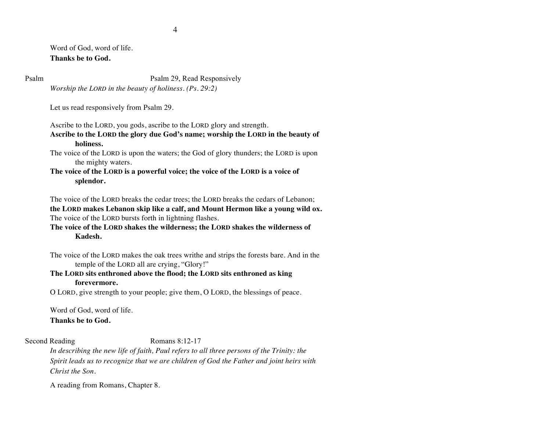Word of God, word of life. **Thanks be to God.**

Psalm Psalm 29, Read Responsively

*Worship the LORD in the beauty of holiness. (Ps. 29:2)*

Let us read responsively from Psalm 29.

Ascribe to the LORD, you gods, ascribe to the LORD glory and strength.

**Ascribe to the LORD the glory due God's name; worship the LORD in the beauty of holiness.**

The voice of the LORD is upon the waters; the God of glory thunders; the LORD is upon the mighty waters.

**The voice of the LORD is a powerful voice; the voice of the LORD is a voice of splendor.**

The voice of the LORD breaks the cedar trees; the LORD breaks the cedars of Lebanon; **the LORD makes Lebanon skip like a calf, and Mount Hermon like a young wild ox.**  The voice of the LORD bursts forth in lightning flashes.

**The voice of the LORD shakes the wilderness; the LORD shakes the wilderness of Kadesh.**

The voice of the LORD makes the oak trees writhe and strips the forests bare. And in the temple of the LORD all are crying, "Glory!"

**The LORD sits enthroned above the flood; the LORD sits enthroned as king forevermore.**

O LORD, give strength to your people; give them, O LORD, the blessings of peace.

Word of God, word of life. **Thanks be to God.**

### Second Reading Romans 8:12-17

*In describing the new life of faith, Paul refers to all three persons of the Trinity: the Spirit leads us to recognize that we are children of God the Father and joint heirs with Christ the Son.*

A reading from Romans, Chapter 8.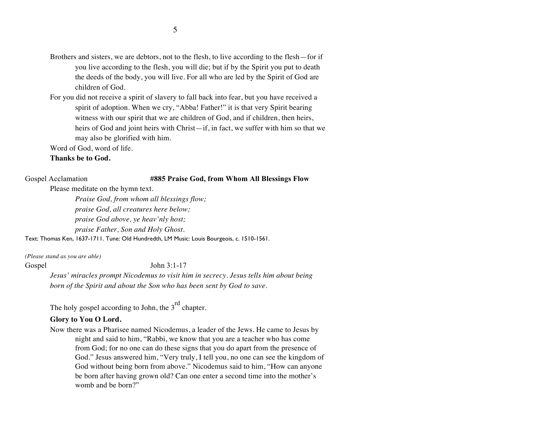- Brothers and sisters, we are debtors, not to the flesh, to live according to the flesh—for if you live according to the flesh, you will die; but if by the Spirit you put to death the deeds of the body, you will live. For all who are led by the Spirit of God are children of God.
- For you did not receive a spirit of slavery to fall back into fear, but you have received a spirit of adoption. When we cry, "Abba! Father!" it is that very Spirit bearing witness with our spirit that we are children of God, and if children, then heirs, heirs of God and joint heirs with Christ—if, in fact, we suffer with him so that we may also be glorified with him.

Word of God, word of life.

#### **Thanks be to God.**

### Gospel Acclamation **#885 Praise God, from Whom All Blessings Flow**

Please meditate on the hymn text.

*Praise God, from whom all blessings flow; praise God, all creatures here below; praise God above, ye heav'nly host; praise Father, Son and Holy Ghost.*

Text: Thomas Ken, 1637-1711. Tune: Old Hundredth, LM Music: Louis Bourgeois, c. 1510-1561.

*(Please stand as you are able)*

Gospel John 3:1-17

*Jesus' miracles prompt Nicodemus to visit him in secrecy. Jesus tells him about being born of the Spirit and about the Son who has been sent by God to save.*

The holy gospel according to John, the  $3<sup>rd</sup>$  chapter.

### **Glory to You O Lord.**

Now there was a Pharisee named Nicodemus, a leader of the Jews. He came to Jesus by night and said to him, "Rabbi, we know that you are a teacher who has come from God; for no one can do these signs that you do apart from the presence of God." Jesus answered him, "Very truly, I tell you, no one can see the kingdom of God without being born from above." Nicodemus said to him, "How can anyone be born after having grown old? Can one enter a second time into the mother's womb and be born?"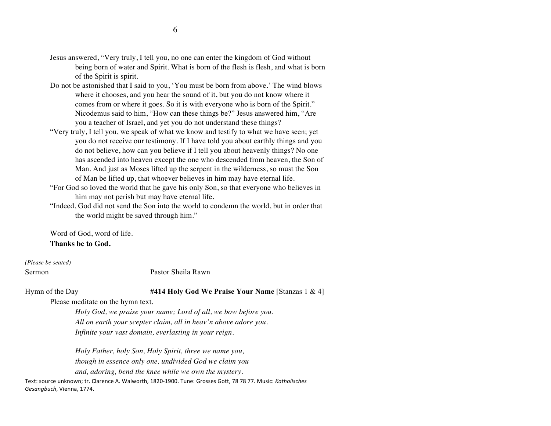- Jesus answered, "Very truly, I tell you, no one can enter the kingdom of God without being born of water and Spirit. What is born of the flesh is flesh, and what is born of the Spirit is spirit.
- Do not be astonished that I said to you, 'You must be born from above.' The wind blows where it chooses, and you hear the sound of it, but you do not know where it comes from or where it goes. So it is with everyone who is born of the Spirit." Nicodemus said to him, "How can these things be?" Jesus answered him, "Are you a teacher of Israel, and yet you do not understand these things?
- "Very truly, I tell you, we speak of what we know and testify to what we have seen; yet you do not receive our testimony. If I have told you about earthly things and you do not believe, how can you believe if I tell you about heavenly things? No one has ascended into heaven except the one who descended from heaven, the Son of Man. And just as Moses lifted up the serpent in the wilderness, so must the Son of Man be lifted up, that whoever believes in him may have eternal life.
- "For God so loved the world that he gave his only Son, so that everyone who believes in him may not perish but may have eternal life.
- "Indeed, God did not send the Son into the world to condemn the world, but in order that the world might be saved through him."

Word of God, word of life.

### **Thanks be to God.**

*(Please be seated)*

Sermon Pastor Sheila Rawn

### Hymn of the Day **#414 Holy God We Praise Your Name** [Stanzas 1 & 4]

Please meditate on the hymn text.

*Holy God, we praise your name; Lord of all, we bow before you. All on earth your scepter claim, all in heav'n above adore you. Infinite your vast domain, everlasting in your reign.*

*Holy Father, holy Son, Holy Spirit, three we name you, though in essence only one, undivided God we claim you and, adoring, bend the knee while we own the mystery.*

Text: source unknown; tr. Clarence A. Walworth, 1820-1900. Tune: Grosses Gott, 78 78 77. Music: *Katholisches* Gesangbuch, Vienna, 1774.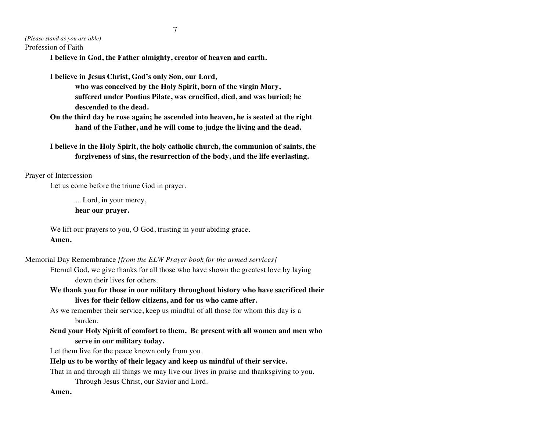*(Please stand as you are able)* Profession of Faith

**I believe in God, the Father almighty, creator of heaven and earth.**

**I believe in Jesus Christ, God's only Son, our Lord, who was conceived by the Holy Spirit, born of the virgin Mary, suffered under Pontius Pilate, was crucified, died, and was buried; he descended to the dead.**

**On the third day he rose again; he ascended into heaven, he is seated at the right hand of the Father, and he will come to judge the living and the dead.**

**I believe in the Holy Spirit, the holy catholic church, the communion of saints, the forgiveness of sins, the resurrection of the body, and the life everlasting.**

Prayer of Intercession

Let us come before the triune God in prayer.

... Lord, in your mercy,

**hear our prayer.**

We lift our prayers to you, O God, trusting in your abiding grace. **Amen.**

Memorial Day Remembrance *[from the ELW Prayer book for the armed services]*

Eternal God, we give thanks for all those who have shown the greatest love by laying down their lives for others.

**We thank you for those in our military throughout history who have sacrificed their lives for their fellow citizens, and for us who came after.**

As we remember their service, keep us mindful of all those for whom this day is a burden.

**Send your Holy Spirit of comfort to them. Be present with all women and men who serve in our military today.**

Let them live for the peace known only from you.

#### **Help us to be worthy of their legacy and keep us mindful of their service.**

That in and through all things we may live our lives in praise and thanksgiving to you.

Through Jesus Christ, our Savior and Lord.

**Amen.**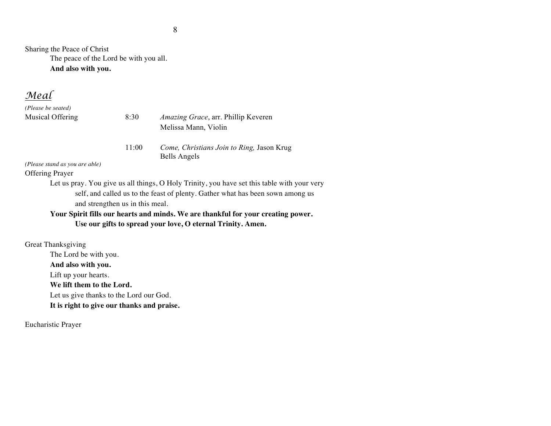Sharing the Peace of Christ The peace of the Lord be with you all. **And also with you.**

*Meal*

*(Please be seated)*

Musical Offering 8:30 *Amazing Grace*, arr. Phillip Keveren Melissa Mann, Violin

> 11:00 *Come, Christians Join to Ring,* Jason Krug Bells Angels

*(Please stand as you are able)*

Offering Prayer

Let us pray. You give us all things, O Holy Trinity, you have set this table with your very self, and called us to the feast of plenty. Gather what has been sown among us and strengthen us in this meal.

# **Your Spirit fills our hearts and minds. We are thankful for your creating power. Use our gifts to spread your love, O eternal Trinity. Amen.**

Great Thanksgiving The Lord be with you. **And also with you.** Lift up your hearts. **We lift them to the Lord.** Let us give thanks to the Lord our God. **It is right to give our thanks and praise.**

Eucharistic Prayer